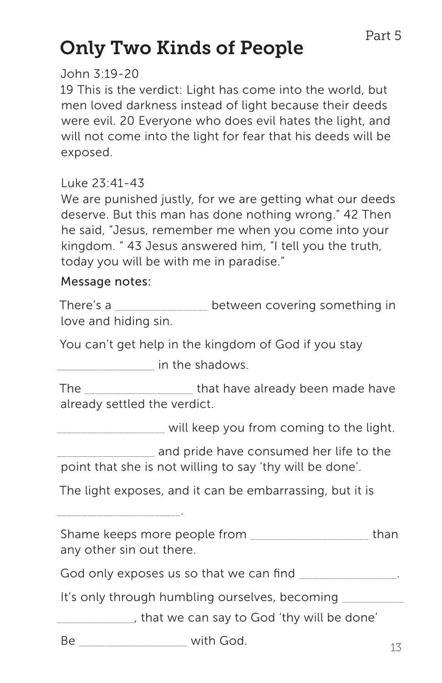# Only Two Kinds of People

#### John 3:19-20

19 This is the verdict: Light has come into the world, but men loved darkness instead of light because their deeds were evil. 20 Everyone who does evil hates the light, and will not come into the light for fear that his deeds will be exposed.

## Luke 23:41-43

We are punished justly, for we are getting what our deeds deserve. But this man has done nothing wrong." 42 Then he said, "Jesus, remember me when you come into your kingdom. " 43 Jesus answered him, "I tell you the truth, today you will be with me in paradise."

#### Message notes:

There's a \_\_\_\_\_\_\_\_\_\_\_\_\_\_\_\_\_\_ between covering something in love and hiding sin.

You can't get help in the kingdom of God if you stay

dentically in the shadows.

The that have already been made have already settled the verdict.

\_\_\_\_\_\_\_\_\_\_\_\_\_\_\_\_\_\_\_\_\_ will keep you from coming to the light.

\_\_\_\_\_\_\_\_\_\_\_\_\_\_\_\_\_\_\_ and pride have consumed her life to the point that she is not willing to say 'thy will be done'.

The light exposes, and it can be embarrassing, but it is

\_\_\_\_\_\_\_\_\_\_\_\_\_\_\_\_\_\_\_\_\_\_\_\_.

Shame keeps more people from exactled than any other sin out there.

God only exposes us so that we can find

It's only through humbling ourselves, becoming

\_\_\_\_\_\_\_\_\_\_\_\_\_\_\_, that we can say to God 'thy will be done'

Be  $\qquad \qquad$  with God.